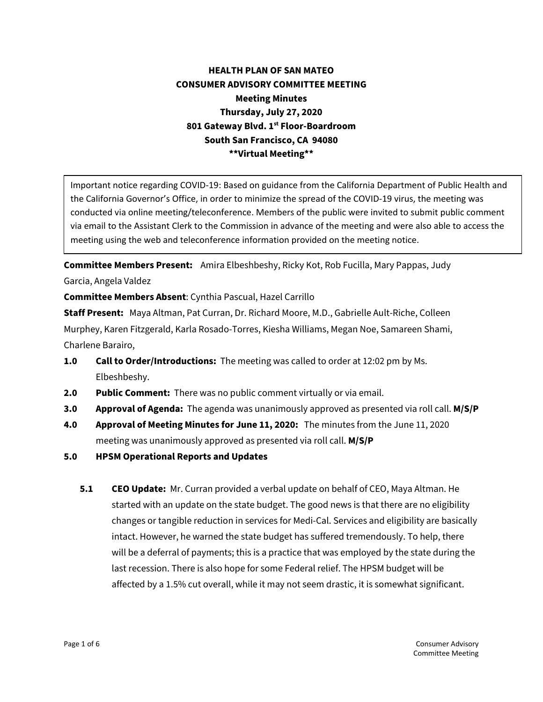## **HEALTH PLAN OF SAN MATEO CONSUMER ADVISORY COMMITTEE MEETING Meeting Minutes Thursday, July 27, 2020 801 Gateway Blvd. 1st Floor-Boardroom South San Francisco, CA 94080 \*\*Virtual Meeting\*\***

Important notice regarding COVID-19: Based on guidance from the California Department of Public Health and the California Governor's Office, in order to minimize the spread of the COVID-19 virus, the meeting was conducted via online meeting/teleconference. Members of the public were invited to submit public comment via email to the Assistant Clerk to the Commission in advance of the meeting and were also able to access the meeting using the web and teleconference information provided on the meeting notice.

**Committee Members Present:** Amira Elbeshbeshy, Ricky Kot, Rob Fucilla, Mary Pappas, Judy Garcia, Angela Valdez

**Committee Members Absent**: Cynthia Pascual, Hazel Carrillo

**Staff Present:** Maya Altman, Pat Curran, Dr. Richard Moore, M.D., Gabrielle Ault-Riche, Colleen Murphey, Karen Fitzgerald, Karla Rosado-Torres, Kiesha Williams, Megan Noe, Samareen Shami, Charlene Barairo,

- **1.0 Call to Order/Introductions:** The meeting was called to order at 12:02 pm by Ms. Elbeshbeshy.
- **2.0 Public Comment:** There was no public comment virtually or via email.
- **3.0 Approval of Agenda:** The agenda was unanimously approved as presented via roll call. **M/S/P**
- **4.0 Approval of Meeting Minutes for June 11, 2020:** The minutes from the June 11, 2020 meeting was unanimously approved as presented via roll call. **M/S/P**
- **5.0 HPSM Operational Reports and Updates**
	- **5.1 CEO Update:** Mr. Curran provided a verbal update on behalf of CEO, Maya Altman. He started with an update on the state budget. The good news is that there are no eligibility changes or tangible reduction in services for Medi-Cal. Services and eligibility are basically intact. However, he warned the state budget has suffered tremendously. To help, there will be a deferral of payments; this is a practice that was employed by the state during the last recession. There is also hope for some Federal relief. The HPSM budget will be affected by a 1.5% cut overall, while it may not seem drastic, it is somewhat significant.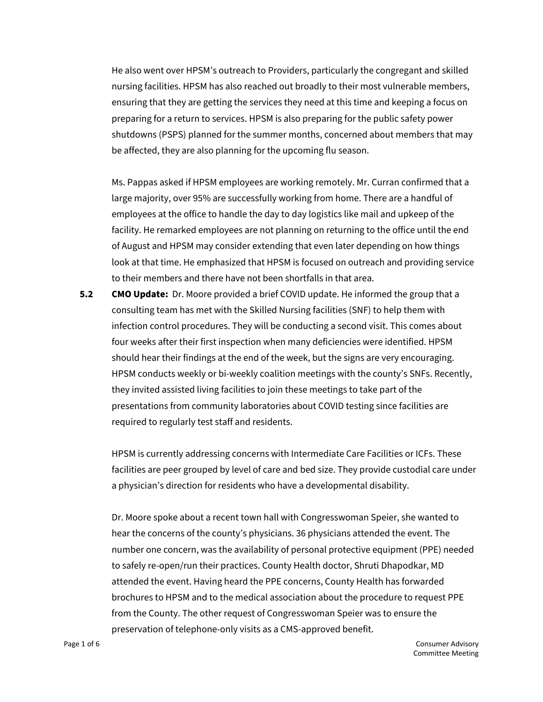He also went over HPSM's outreach to Providers, particularly the congregant and skilled nursing facilities. HPSM has also reached out broadly to their most vulnerable members, ensuring that they are getting the services they need at this time and keeping a focus on preparing for a return to services. HPSM is also preparing for the public safety power shutdowns (PSPS) planned for the summer months, concerned about members that may be affected, they are also planning for the upcoming flu season.

Ms. Pappas asked if HPSM employees are working remotely. Mr. Curran confirmed that a large majority, over 95% are successfully working from home. There are a handful of employees at the office to handle the day to day logistics like mail and upkeep of the facility. He remarked employees are not planning on returning to the office until the end of August and HPSM may consider extending that even later depending on how things look at that time. He emphasized that HPSM is focused on outreach and providing service to their members and there have not been shortfalls in that area.

**5.2 CMO Update:** Dr. Moore provided a brief COVID update. He informed the group that a consulting team has met with the Skilled Nursing facilities (SNF) to help them with infection control procedures. They will be conducting a second visit. This comes about four weeks after their first inspection when many deficiencies were identified. HPSM should hear their findings at the end of the week, but the signs are very encouraging. HPSM conducts weekly or bi-weekly coalition meetings with the county's SNFs. Recently, they invited assisted living facilities to join these meetings to take part of the presentations from community laboratories about COVID testing since facilities are required to regularly test staff and residents.

HPSM is currently addressing concerns with Intermediate Care Facilities or ICFs. These facilities are peer grouped by level of care and bed size. They provide custodial care under a physician's direction for residents who have a developmental disability.

Dr. Moore spoke about a recent town hall with Congresswoman Speier, she wanted to hear the concerns of the county's physicians. 36 physicians attended the event. The number one concern, was the availability of personal protective equipment (PPE) needed to safely re-open/run their practices. County Health doctor, Shruti Dhapodkar, MD attended the event. Having heard the PPE concerns, County Health has forwarded brochures to HPSM and to the medical association about the procedure to request PPE from the County. The other request of Congresswoman Speier was to ensure the preservation of telephone-only visits as a CMS-approved benefit.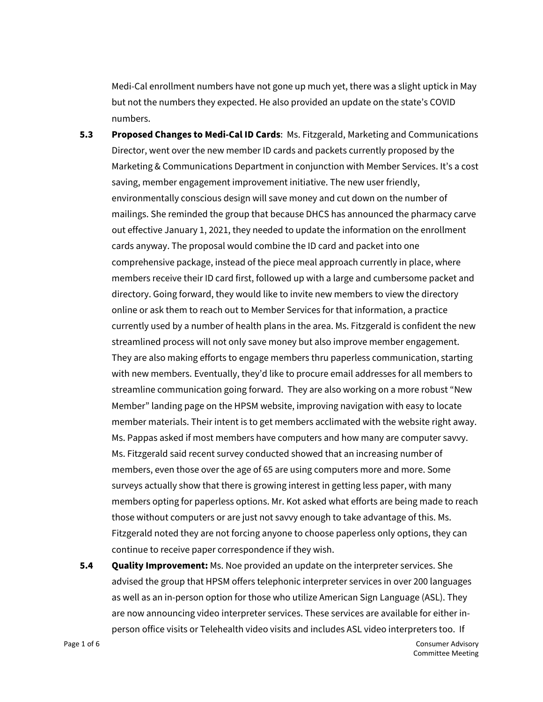Medi-Cal enrollment numbers have not gone up much yet, there was a slight uptick in May but not the numbers they expected. He also provided an update on the state's COVID numbers.

- **5.3 Proposed Changes to Medi-Cal ID Cards**: Ms. Fitzgerald, Marketing and Communications Director, went over the new member ID cards and packets currently proposed by the Marketing & Communications Department in conjunction with Member Services. It's a cost saving, member engagement improvement initiative. The new user friendly, environmentally conscious design will save money and cut down on the number of mailings. She reminded the group that because DHCS has announced the pharmacy carve out effective January 1, 2021, they needed to update the information on the enrollment cards anyway. The proposal would combine the ID card and packet into one comprehensive package, instead of the piece meal approach currently in place, where members receive their ID card first, followed up with a large and cumbersome packet and directory. Going forward, they would like to invite new members to view the directory online or ask them to reach out to Member Services for that information, a practice currently used by a number of health plans in the area. Ms. Fitzgerald is confident the new streamlined process will not only save money but also improve member engagement. They are also making efforts to engage members thru paperless communication, starting with new members. Eventually, they'd like to procure email addresses for all members to streamline communication going forward. They are also working on a more robust "New Member" landing page on the HPSM website, improving navigation with easy to locate member materials. Their intent is to get members acclimated with the website right away. Ms. Pappas asked if most members have computers and how many are computer savvy. Ms. Fitzgerald said recent survey conducted showed that an increasing number of members, even those over the age of 65 are using computers more and more. Some surveys actually show that there is growing interest in getting less paper, with many members opting for paperless options. Mr. Kot asked what efforts are being made to reach those without computers or are just not savvy enough to take advantage of this. Ms. Fitzgerald noted they are not forcing anyone to choose paperless only options, they can continue to receive paper correspondence if they wish.
- **5.4 Quality Improvement:** Ms. Noe provided an update on the interpreter services. She advised the group that HPSM offers telephonic interpreter services in over 200 languages as well as an in-person option for those who utilize American Sign Language (ASL). They are now announcing video interpreter services. These services are available for either inperson office visits or Telehealth video visits and includes ASL video interpreters too. If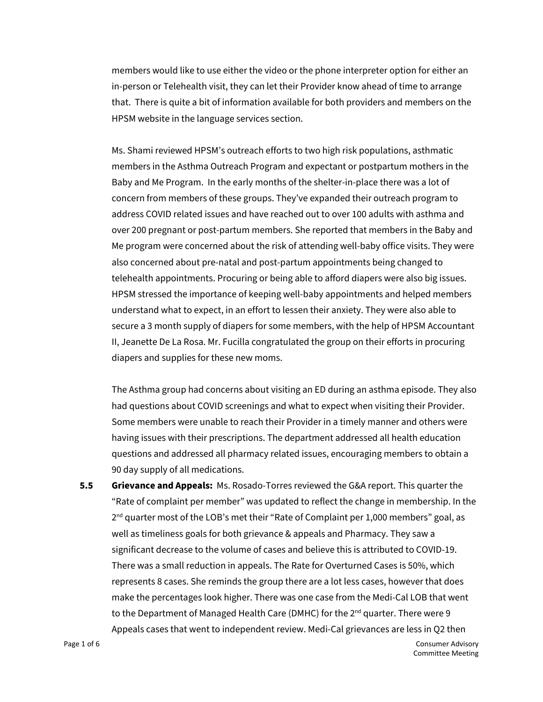members would like to use either the video or the phone interpreter option for either an in-person or Telehealth visit, they can let their Provider know ahead of time to arrange that. There is quite a bit of information available for both providers and members on the HPSM website in the language services section.

Ms. Shami reviewed HPSM's outreach efforts to two high risk populations, asthmatic members in the Asthma Outreach Program and expectant or postpartum mothers in the Baby and Me Program. In the early months of the shelter-in-place there was a lot of concern from members of these groups. They've expanded their outreach program to address COVID related issues and have reached out to over 100 adults with asthma and over 200 pregnant or post-partum members. She reported that members in the Baby and Me program were concerned about the risk of attending well-baby office visits. They were also concerned about pre-natal and post-partum appointments being changed to telehealth appointments. Procuring or being able to afford diapers were also big issues. HPSM stressed the importance of keeping well-baby appointments and helped members understand what to expect, in an effort to lessen their anxiety. They were also able to secure a 3 month supply of diapers for some members, with the help of HPSM Accountant II, Jeanette De La Rosa. Mr. Fucilla congratulated the group on their efforts in procuring diapers and supplies for these new moms.

The Asthma group had concerns about visiting an ED during an asthma episode. They also had questions about COVID screenings and what to expect when visiting their Provider. Some members were unable to reach their Provider in a timely manner and others were having issues with their prescriptions. The department addressed all health education questions and addressed all pharmacy related issues, encouraging members to obtain a 90 day supply of all medications.

**5.5 Grievance and Appeals:** Ms. Rosado-Torres reviewed the G&A report. This quarter the "Rate of complaint per member" was updated to reflect the change in membership. In the  $2<sup>nd</sup>$  quarter most of the LOB's met their "Rate of Complaint per 1,000 members" goal, as well as timeliness goals for both grievance & appeals and Pharmacy. They saw a significant decrease to the volume of cases and believe this is attributed to COVID-19. There was a small reduction in appeals. The Rate for Overturned Cases is 50%, which represents 8 cases. She reminds the group there are a lot less cases, however that does make the percentages look higher. There was one case from the Medi-Cal LOB that went to the Department of Managed Health Care (DMHC) for the 2<sup>nd</sup> quarter. There were 9 Appeals cases that went to independent review. Medi-Cal grievances are less in Q2 then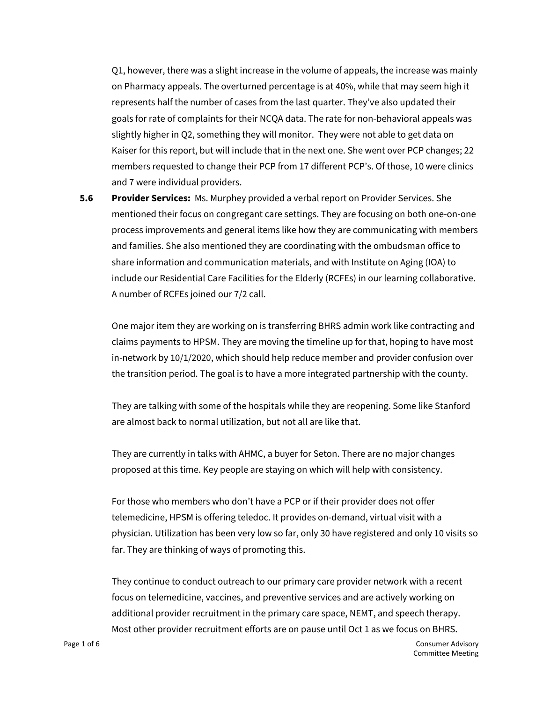Q1, however, there was a slight increase in the volume of appeals, the increase was mainly on Pharmacy appeals. The overturned percentage is at 40%, while that may seem high it represents half the number of cases from the last quarter. They've also updated their goals for rate of complaints for their NCQA data. The rate for non-behavioral appeals was slightly higher in Q2, something they will monitor. They were not able to get data on Kaiser for this report, but will include that in the next one. She went over PCP changes; 22 members requested to change their PCP from 17 different PCP's. Of those, 10 were clinics and 7 were individual providers.

**5.6 Provider Services:** Ms. Murphey provided a verbal report on Provider Services. She mentioned their focus on congregant care settings. They are focusing on both one-on-one process improvements and general items like how they are communicating with members and families. She also mentioned they are coordinating with the ombudsman office to share information and communication materials, and with Institute on Aging (IOA) to include our Residential Care Facilities for the Elderly (RCFEs) in our learning collaborative. A number of RCFEs joined our 7/2 call.

One major item they are working on is transferring BHRS admin work like contracting and claims payments to HPSM. They are moving the timeline up for that, hoping to have most in-network by 10/1/2020, which should help reduce member and provider confusion over the transition period. The goal is to have a more integrated partnership with the county.

They are talking with some of the hospitals while they are reopening. Some like Stanford are almost back to normal utilization, but not all are like that.

They are currently in talks with AHMC, a buyer for Seton. There are no major changes proposed at this time. Key people are staying on which will help with consistency.

For those who members who don't have a PCP or if their provider does not offer telemedicine, HPSM is offering teledoc. It provides on-demand, virtual visit with a physician. Utilization has been very low so far, only 30 have registered and only 10 visits so far. They are thinking of ways of promoting this.

They continue to conduct outreach to our primary care provider network with a recent focus on telemedicine, vaccines, and preventive services and are actively working on additional provider recruitment in the primary care space, NEMT, and speech therapy. Most other provider recruitment efforts are on pause until Oct 1 as we focus on BHRS.